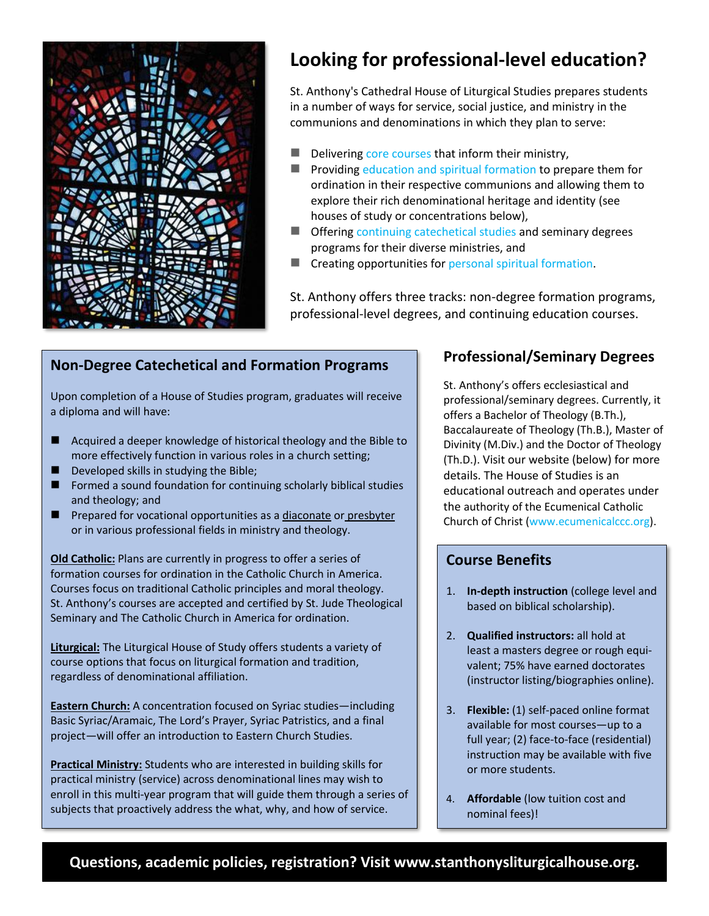

# **Looking for professional-level education?**

St. Anthony's Cathedral House of Liturgical Studies prepares students in a number of ways for service, social justice, and ministry in the communions and denominations in which they plan to serve:

- Delivering core [courses](https://www.stanthonysliturgicalhouse.org/program) that inform their ministry,
- Providing education and spiritual [formation](https://www.stanthonysliturgicalhouse.org/program) to prepare them for ordination in their respective communions and allowing them to explore their rich denominational heritage and identity (see houses of study or concentrations below),
- Offering continuing [catechetical](https://www.stanthonysliturgicalhouse.org/housesofstudy) studies and seminary degrees programs for their diverse ministries, and
- Creating opportunities for personal spiritual [formation.](https://www.stanthonysliturgicalhouse.org/program)

St. Anthony offers three tracks: non-degree formation programs, professional-level degrees, and continuing education courses.

## **Non-Degree Catechetical and Formation Programs**

Upon completion of a House of Studies program, graduates will receive a diploma and will have:

- Acquired a deeper knowledge of historical theology and the Bible to more effectively function in various roles in a church setting;
- Developed skills in studying the Bible;
- Formed a sound foundation for continuing scholarly biblical studies and theology; and
- Prepared for vocational opportunities as a diaconate or presbyter or in various professional fields in ministry and theology.

**Old Catholic:** Plans are currently in progress to offer a series of formation courses for ordination in the Catholic Church in America. Courses focus on traditional Catholic principles and moral theology. St. Anthony's courses are accepted and certified by St. Jude Theological Seminary and The Catholic Church in America for ordination.

**Liturgical:** The Liturgical House of Study offers students a variety of course options that focus on liturgical formation and tradition, regardless of denominational affiliation.

**Eastern Church:** A concentration focused on Syriac studies―including Basic Syriac/Aramaic, The Lord's Prayer, Syriac Patristics, and a final project―will offer an introduction to Eastern Church Studies.

**Practical Ministry:** Students who are interested in building skills for practical ministry (service) across denominational lines may wish to enroll in this multi-year program that will guide them through a series of subjects that proactively address the what, why, and how of service.

## **Professional/Seminary Degrees**

St. Anthony's offers ecclesiastical and professional/seminary degrees. Currently, it offers a Bachelor of Theology (B.Th.), Baccalaureate of Theology (Th.B.), Master of Divinity (M.Div.) and the Doctor of Theology (Th.D.). Visit our website (below) for more details. The House of Studies is an educational outreach and operates under the authority of the Ecumenical Catholic Church of Christ (www.ecumenicalccc.org).

#### **Course Benefits**

- 1. **In-depth instruction** (college level and based on biblical scholarship).
- 2. **Qualified instructors:** all hold at least a masters degree or rough equivalent; 75% have earned doctorates [\(instructor listing/biographies online\)](https://www.stanthonysliturgicalhouse.org/instructors).
- 3. **Flexible:** (1) self-paced online format available for most courses—up to a full year; (2) face-to-face (residential) instruction may be available with five or more students.
- 4. **Affordable** (low tuition cost and nominal fees)!

**Questions, academic policies, registration? Visit www.stanthonysliturgicalhouse.org.**